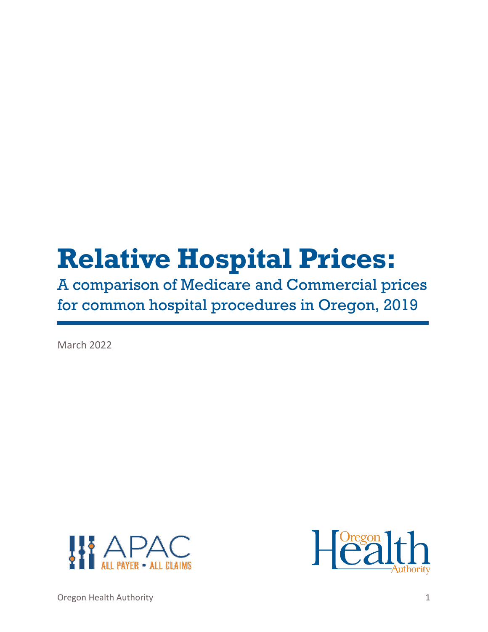# **Relative Hospital Prices:**

A comparison of Medicare and Commercial prices for common hospital procedures in Oregon, 2019

March 2022





Oregon Health Authority 1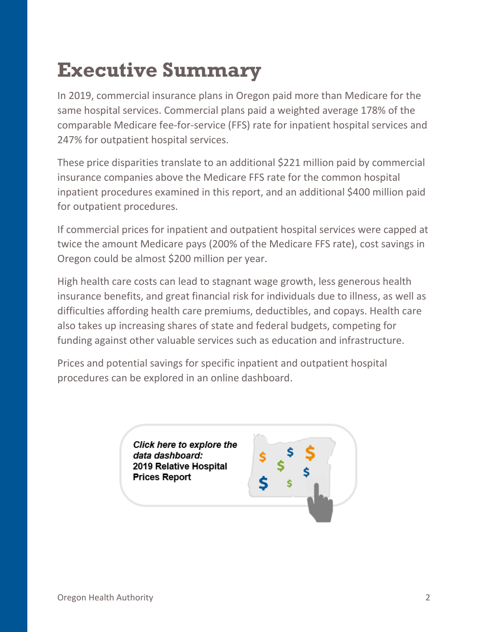## <span id="page-1-0"></span>**Executive Summary**

In 2019, commercial insurance plans in Oregon paid more than Medicare for the same hospital services. Commercial plans paid a weighted average 178% of the comparable Medicare fee-for-service (FFS) rate for inpatient hospital services and 247% for outpatient hospital services.

These price disparities translate to an additional \$221 million paid by commercial insurance companies above the Medicare FFS rate for the common hospital inpatient procedures examined in this report, and an additional \$400 million paid for outpatient procedures.

If commercial prices for inpatient and outpatient hospital services were capped at twice the amount Medicare pays (200% of the Medicare FFS rate), cost savings in Oregon could be almost \$200 million per year.

High health care costs can lead to stagnant wage growth, less generous health insurance benefits, and great financial risk for individuals due to illness, as well as difficulties affording health care premiums, deductibles, and copays. Health care also takes up increasing shares of state and federal budgets, competing for funding against other valuable services such as education and infrastructure.

<span id="page-1-1"></span>Prices and potential savings for specific inpatient and outpatient hospital procedures can be explored in an online dashboard.

> Click here to explore the data dashboard: 2019 Relative Hospital **Prices Report**

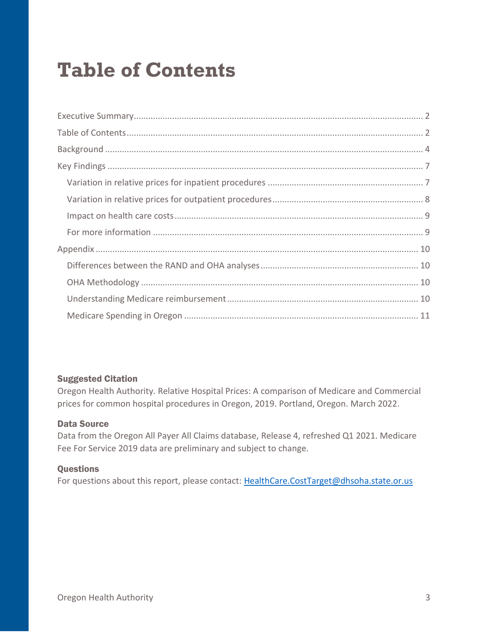## **Table of Contents**

#### Suggested Citation

Oregon Health Authority. Relative Hospital Prices: A comparison of Medicare and Commercial prices for common hospital procedures in Oregon, 2019. Portland, Oregon. March 2022.

#### Data Source

Data from the Oregon All Payer All Claims database, Release 4, refreshed Q1 2021. Medicare Fee For Service 2019 data are preliminary and subject to change.

#### **Questions**

For questions about this report, please contact: [HealthCare.CostTarget@dhsoha.state.or.us](mailto:HealthCare.CostTarget@dhsoha.state.or.us)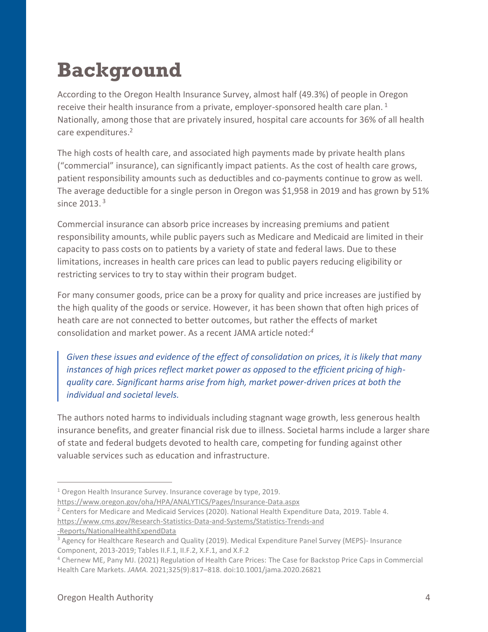## <span id="page-3-0"></span>**Background**

According to the Oregon Health Insurance Survey, almost half (49.3%) of people in Oregon receive their health insurance from a private, employer-sponsored health care plan.  $^1$ Nationally, among those that are privately insured, hospital care accounts for 36% of all health care expenditures. 2

The high costs of health care, and associated high payments made by private health plans ("commercial" insurance), can significantly impact patients. As the cost of health care grows, patient responsibility amounts such as deductibles and co-payments continue to grow as well. The average deductible for a single person in Oregon was \$1,958 in 2019 and has grown by 51% since 2013. <sup>3</sup>

Commercial insurance can absorb price increases by increasing premiums and patient responsibility amounts, while public payers such as Medicare and Medicaid are limited in their capacity to pass costs on to patients by a variety of state and federal laws. Due to these limitations, increases in health care prices can lead to public payers reducing eligibility or restricting services to try to stay within their program budget.

For many consumer goods, price can be a proxy for quality and price increases are justified by the high quality of the goods or service. However, it has been shown that often high prices of heath care are not connected to better outcomes, but rather the effects of market consolidation and market power. As a recent JAMA article noted: *4*

*Given these issues and evidence of the effect of consolidation on prices, it is likely that many instances of high prices reflect market power as opposed to the efficient pricing of highquality care. Significant harms arise from high, market power-driven prices at both the individual and societal levels.* 

The authors noted harms to individuals including stagnant wage growth, less generous health insurance benefits, and greater financial risk due to illness. Societal harms include a larger share of state and federal budgets devoted to health care, competing for funding against other valuable services such as education and infrastructure.

<https://www.oregon.gov/oha/HPA/ANALYTICS/Pages/Insurance-Data.aspx> <sup>2</sup> Centers for Medicare and Medicaid Services (2020). National Health Expenditure Data, 2019. Table 4.

https://www.cms.gov/Research-Statistics-Data-and-Systems/Statistics-Trends-and

-Reports/NationalHealthExpendData

<sup>&</sup>lt;sup>1</sup> Oregon Health Insurance Survey. Insurance coverage by type, 2019.

<sup>&</sup>lt;sup>3</sup> Agency for Healthcare Research and Quality (2019). Medical Expenditure Panel Survey (MEPS)- Insurance Component, 2013-2019; Tables II.F.1, II.F.2, X.F.1, and X.F.2

<sup>4</sup> Chernew ME, Pany MJ. (2021) Regulation of Health Care Prices: The Case for Backstop Price Caps in Commercial Health Care Markets. *JAMA.* 2021;325(9):817–818. doi:10.1001/jama.2020.26821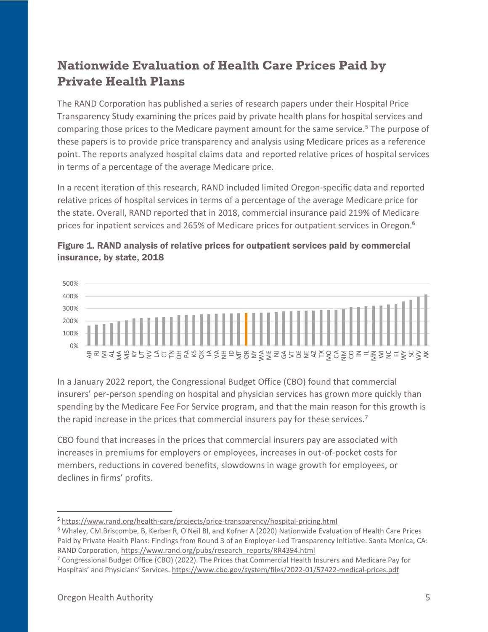### **Nationwide Evaluation of Health Care Prices Paid by Private Health Plans**

The RAND Corporation has published a series of research papers under their Hospital Price Transparency Study examining the prices paid by private health plans for hospital services and comparing those prices to the Medicare payment amount for the same service.<sup>5</sup> The purpose of these papers is to provide price transparency and analysis using Medicare prices as a reference point. The reports analyzed hospital claims data and reported relative prices of hospital services in terms of a percentage of the average Medicare price.

In a recent iteration of this research, RAND included limited Oregon-specific data and reported relative prices of hospital services in terms of a percentage of the average Medicare price for the state. Overall, RAND reported that in 2018, commercial insurance paid 219% of Medicare prices for inpatient services and 265% of Medicare prices for outpatient services in Oregon.<sup>6</sup>





In a January 2022 report, the Congressional Budget Office (CBO) found that commercial insurers' per-person spending on hospital and physician services has grown more quickly than spending by the Medicare Fee For Service program, and that the main reason for this growth is the rapid increase in the prices that commercial insurers pay for these services.<sup>7</sup>

CBO found that increases in the prices that commercial insurers pay are associated with increases in premiums for employers or employees, increases in out-of-pocket costs for members, reductions in covered benefits, slowdowns in wage growth for employees, or declines in firms' profits.

<sup>5</sup> <https://www.rand.org/health-care/projects/price-transparency/hospital-pricing.html>

<sup>6</sup> Whaley, CM.Briscombe, B, Kerber R, O'Neil Bl, and Kofner A (2020) Nationwide Evaluation of Health Care Prices Paid by Private Health Plans: Findings from Round 3 of an Employer-Led Transparency Initiative. Santa Monica, CA: RAND Corporation, [https://www.rand.org/pubs/research\\_reports/RR4394.html](https://www.rand.org/pubs/research_reports/RR4394.html)

<sup>&</sup>lt;sup>7</sup> Congressional Budget Office (CBO) (2022). The Prices that Commercial Health Insurers and Medicare Pay for Hospitals' and Physicians' Services. <https://www.cbo.gov/system/files/2022-01/57422-medical-prices.pdf>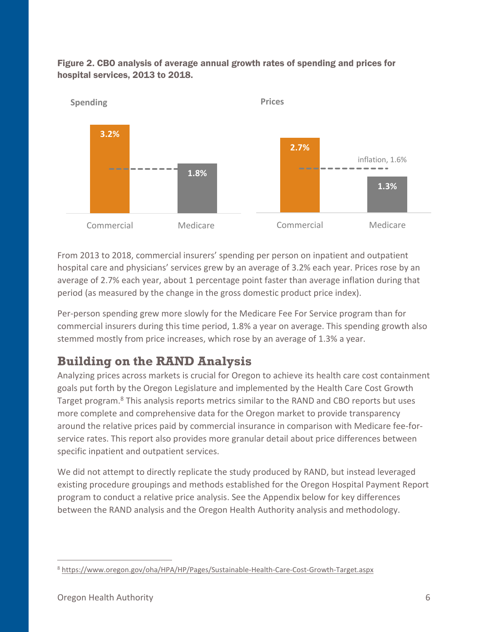

Figure 2. CBO analysis of average annual growth rates of spending and prices for hospital services, 2013 to 2018.

From 2013 to 2018, commercial insurers' spending per person on inpatient and outpatient hospital care and physicians' services grew by an average of 3.2% each year. Prices rose by an average of 2.7% each year, about 1 percentage point faster than average inflation during that period (as measured by the change in the gross domestic product price index).

Per-person spending grew more slowly for the Medicare Fee For Service program than for commercial insurers during this time period, 1.8% a year on average. This spending growth also stemmed mostly from price increases, which rose by an average of 1.3% a year.

### **Building on the RAND Analysis**

Analyzing prices across markets is crucial for Oregon to achieve its health care cost containment goals put forth by the Oregon Legislature and implemented by the Health Care Cost Growth Target program.<sup>8</sup> This analysis reports metrics similar to the RAND and CBO reports but uses more complete and comprehensive data for the Oregon market to provide transparency around the relative prices paid by commercial insurance in comparison with Medicare fee-forservice rates. This report also provides more granular detail about price differences between specific inpatient and outpatient services.

<span id="page-5-0"></span>We did not attempt to directly replicate the study produced by RAND, but instead leveraged existing procedure groupings and methods established for the Oregon Hospital Payment Report program to conduct a relative price analysis. See the Appendix below for key differences between the RAND analysis and the Oregon Health Authority analysis and methodology.

<sup>8</sup> <https://www.oregon.gov/oha/HPA/HP/Pages/Sustainable-Health-Care-Cost-Growth-Target.aspx>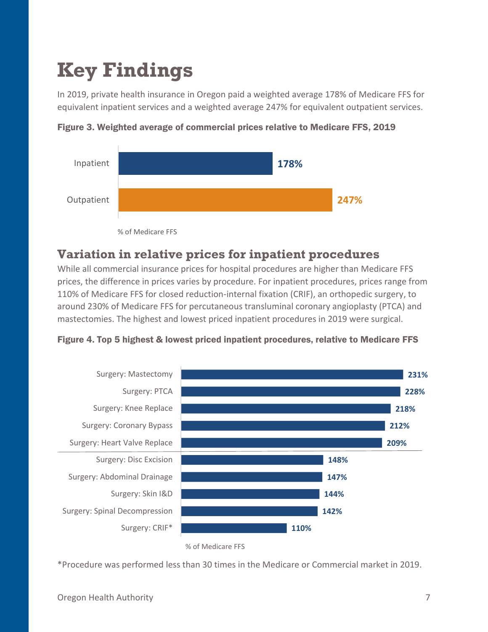## **Key Findings**

In 2019, private health insurance in Oregon paid a weighted average 178% of Medicare FFS for equivalent inpatient services and a weighted average 247% for equivalent outpatient services.



Figure 3. Weighted average of commercial prices relative to Medicare FFS, 2019

% of Medicare FFS

#### <span id="page-6-0"></span>**Variation in relative prices for inpatient procedures**

While all commercial insurance prices for hospital procedures are higher than Medicare FFS prices, the difference in prices varies by procedure. For inpatient procedures, prices range from 110% of Medicare FFS for closed reduction-internal fixation (CRIF), an orthopedic surgery, to around 230% of Medicare FFS for percutaneous transluminal coronary angioplasty (PTCA) and mastectomies. The highest and lowest priced inpatient procedures in 2019 were surgical.





<sup>%</sup> of Medicare FFS

\*Procedure was performed less than 30 times in the Medicare or Commercial market in 2019.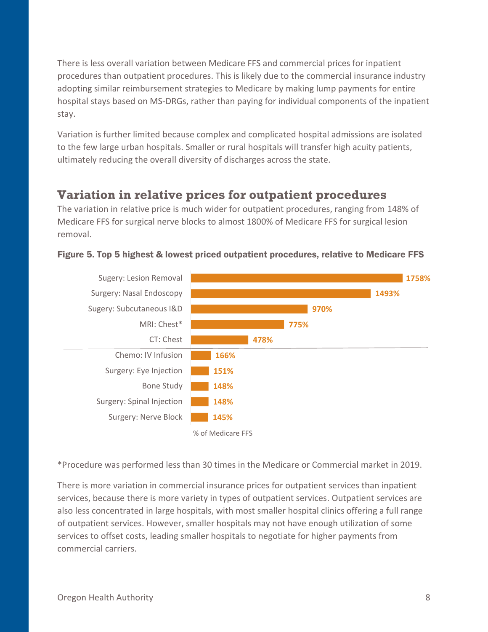There is less overall variation between Medicare FFS and commercial prices for inpatient procedures than outpatient procedures. This is likely due to the commercial insurance industry adopting similar reimbursement strategies to Medicare by making lump payments for entire hospital stays based on MS-DRGs, rather than paying for individual components of the inpatient stay.

Variation is further limited because complex and complicated hospital admissions are isolated to the few large urban hospitals. Smaller or rural hospitals will transfer high acuity patients, ultimately reducing the overall diversity of discharges across the state.

#### <span id="page-7-0"></span>**Variation in relative prices for outpatient procedures**

The variation in relative price is much wider for outpatient procedures, ranging from 148% of Medicare FFS for surgical nerve blocks to almost 1800% of Medicare FFS for surgical lesion removal.



#### Figure 5. Top 5 highest & lowest priced outpatient procedures, relative to Medicare FFS

\*Procedure was performed less than 30 times in the Medicare or Commercial market in 2019.

There is more variation in commercial insurance prices for outpatient services than inpatient services, because there is more variety in types of outpatient services. Outpatient services are also less concentrated in large hospitals, with most smaller hospital clinics offering a full range of outpatient services. However, smaller hospitals may not have enough utilization of some services to offset costs, leading smaller hospitals to negotiate for higher payments from commercial carriers.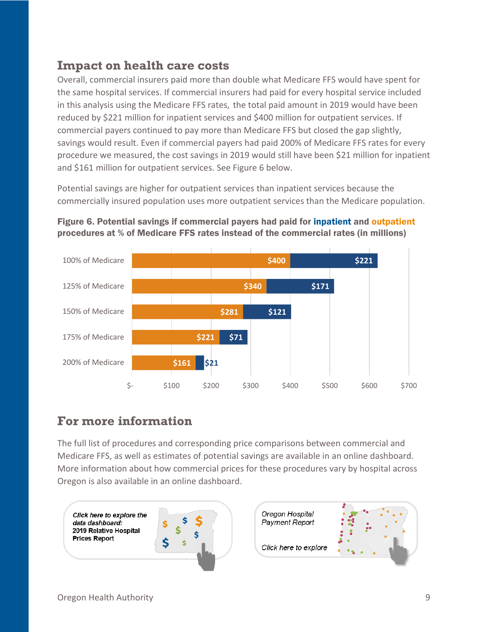#### <span id="page-8-0"></span>**Impact on health care costs**

Overall, commercial insurers paid more than double what Medicare FFS would have spent for the same hospital services. If commercial insurers had paid for every hospital service included in this analysis using the Medicare FFS rates, the total paid amount in 2019 would have been reduced by \$221 million for inpatient services and \$400 million for outpatient services. If commercial payers continued to pay more than Medicare FFS but closed the gap slightly, savings would result. Even if commercial payers had paid 200% of Medicare FFS rates for every procedure we measured, the cost savings in 2019 would still have been \$21 million for inpatient and \$161 million for outpatient services. See Figure 6 below.

Potential savings are higher for outpatient services than inpatient services because the commercially insured population uses more outpatient services than the Medicare population.





#### <span id="page-8-1"></span>**For more information**

The full list of procedures and corresponding price comparisons between commercial and Medicare FFS, as well as estimates of potential savings are available in an online dashboard. More information about how commercial prices for these procedures vary by hospital across Oregon is also available in an online dashboard.

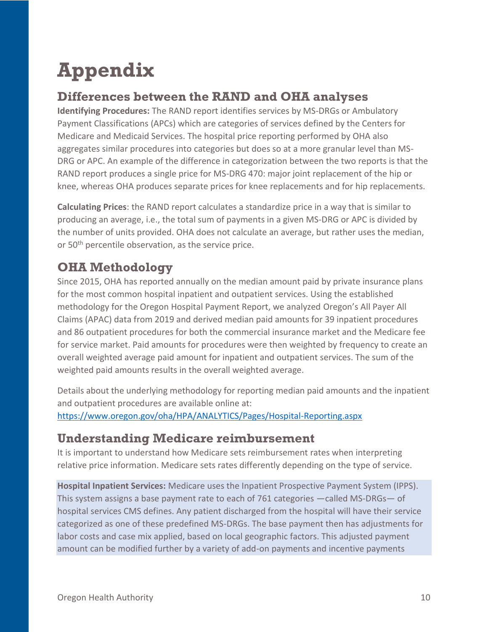## <span id="page-9-0"></span>**Appendix**

### <span id="page-9-1"></span>**Differences between the RAND and OHA analyses**

**Identifying Procedures:** The RAND report identifies services by MS-DRGs or Ambulatory Payment Classifications (APCs) which are categories of services defined by the Centers for Medicare and Medicaid Services. The hospital price reporting performed by OHA also aggregates similar procedures into categories but does so at a more granular level than MS-DRG or APC. An example of the difference in categorization between the two reports is that the RAND report produces a single price for MS-DRG 470: major joint replacement of the hip or knee, whereas OHA produces separate prices for knee replacements and for hip replacements.

**Calculating Prices**: the RAND report calculates a standardize price in a way that is similar to producing an average, i.e., the total sum of payments in a given MS-DRG or APC is divided by the number of units provided. OHA does not calculate an average, but rather uses the median, or 50<sup>th</sup> percentile observation, as the service price.

### <span id="page-9-2"></span>**OHA Methodology**

Since 2015, OHA has reported annually on the median amount paid by private insurance plans for the most common hospital inpatient and outpatient services. Using the established methodology for the Oregon Hospital Payment Report, we analyzed Oregon's All Payer All Claims (APAC) data from 2019 and derived median paid amounts for 39 inpatient procedures and 86 outpatient procedures for both the commercial insurance market and the Medicare fee for service market. Paid amounts for procedures were then weighted by frequency to create an overall weighted average paid amount for inpatient and outpatient services. The sum of the weighted paid amounts results in the overall weighted average.

Details about the underlying methodology for reporting median paid amounts and the inpatient and outpatient procedures are available online at: <https://www.oregon.gov/oha/HPA/ANALYTICS/Pages/Hospital-Reporting.aspx>

### <span id="page-9-3"></span>**Understanding Medicare reimbursement**

It is important to understand how Medicare sets reimbursement rates when interpreting relative price information. Medicare sets rates differently depending on the type of service.

**Hospital Inpatient Services:** Medicare uses the Inpatient Prospective Payment System (IPPS). This system assigns a base payment rate to each of 761 categories —called MS-DRGs— of hospital services CMS defines. Any patient discharged from the hospital will have their service categorized as one of these predefined MS-DRGs. The base payment then has adjustments for labor costs and case mix applied, based on local geographic factors. This adjusted payment amount can be modified further by a variety of add-on payments and incentive payments